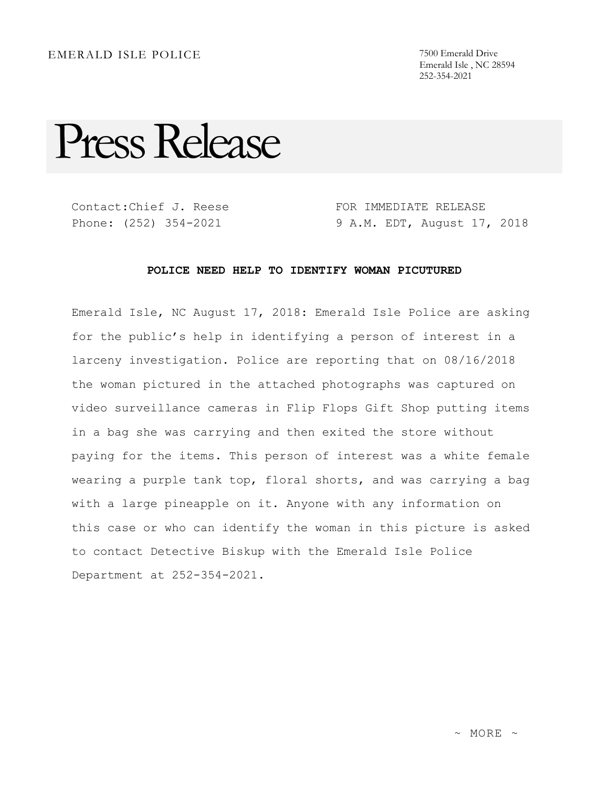Emerald Isle , NC 28594 252-354-2021

Press Release

Contact:Chief J. Reese Phone: (252) 354-2021

FOR IMMEDIATE RELEASE 9 A.M. EDT, August 17, 2018

## **POLICE NEED HELP TO IDENTIFY WOMAN PICUTURED**

Emerald Isle, NC August 17, 2018: Emerald Isle Police are asking for the public's help in identifying a person of interest in a larceny investigation. Police are reporting that on 08/16/2018 the woman pictured in the attached photographs was captured on video surveillance cameras in Flip Flops Gift Shop putting items in a bag she was carrying and then exited the store without paying for the items. This person of interest was a white female wearing a purple tank top, floral shorts, and was carrying a bag with a large pineapple on it. Anyone with any information on this case or who can identify the woman in this picture is asked to contact Detective Biskup with the Emerald Isle Police Department at 252-354-2021.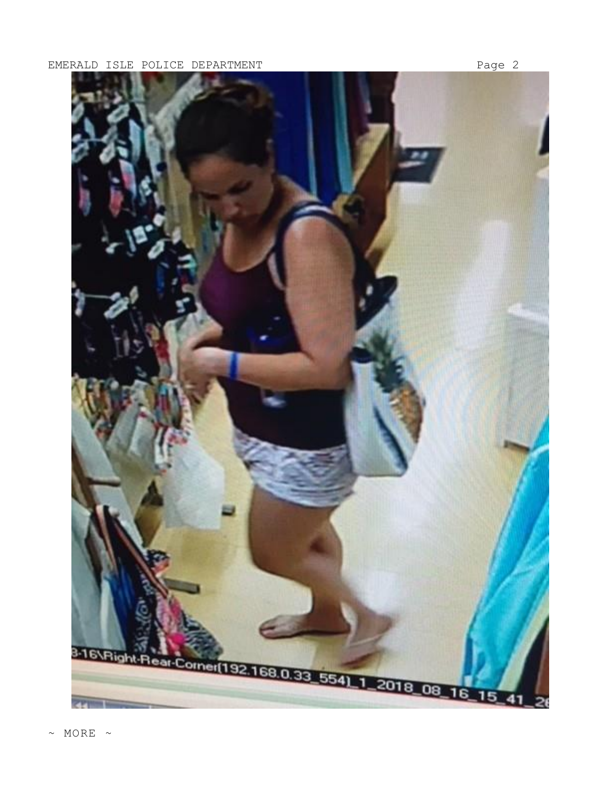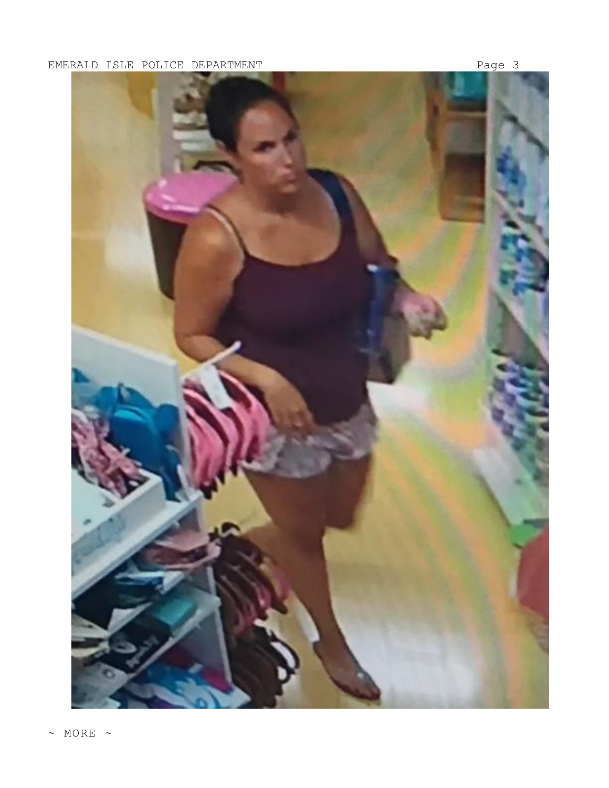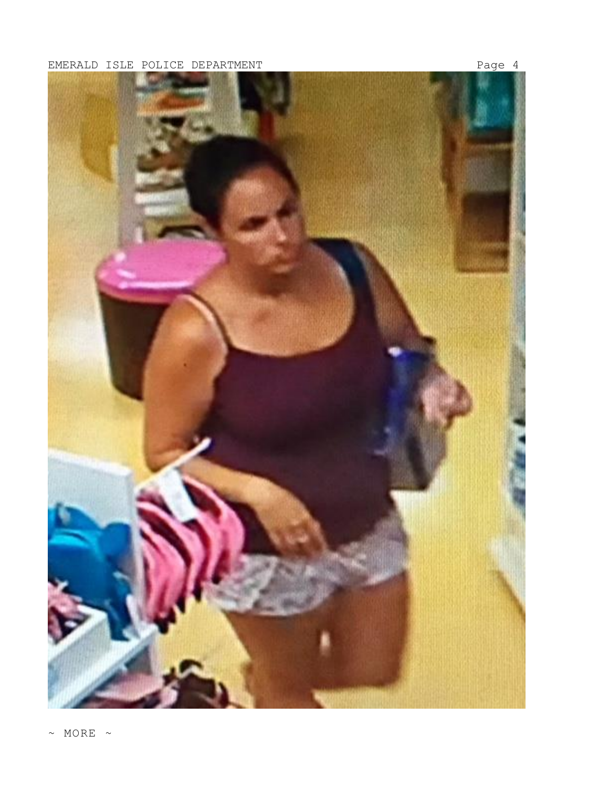